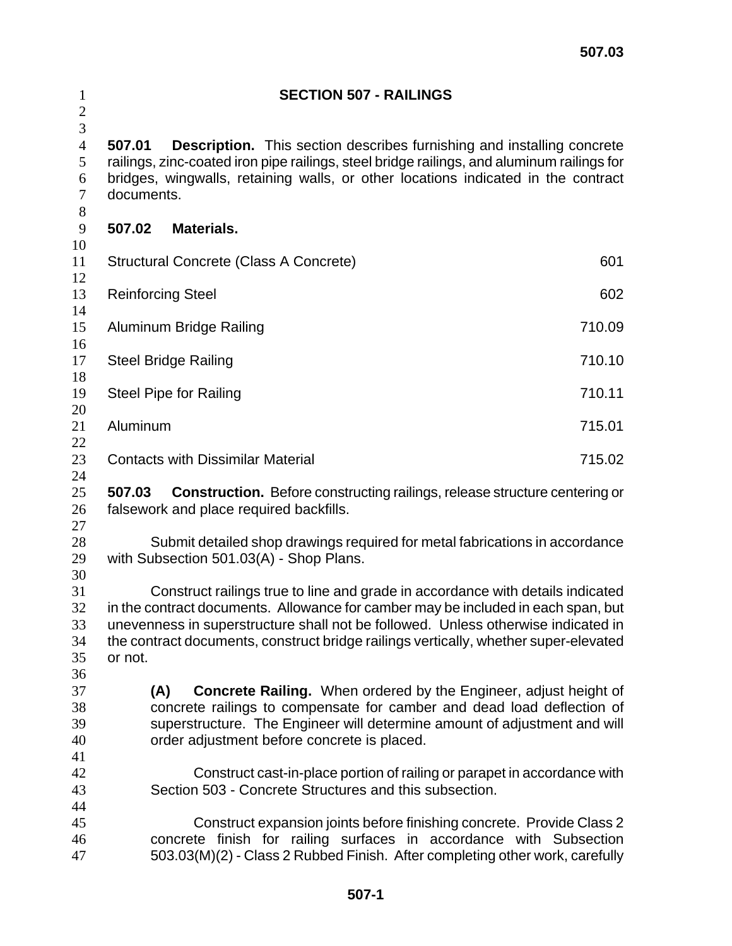| $\mathbf{1}$<br>$\overline{c}$          | <b>SECTION 507 - RAILINGS</b><br><b>Description.</b> This section describes furnishing and installing concrete<br>507.01<br>railings, zinc-coated iron pipe railings, steel bridge railings, and aluminum railings for<br>bridges, wingwalls, retaining walls, or other locations indicated in the contract<br>documents.                                   |        |  |
|-----------------------------------------|-------------------------------------------------------------------------------------------------------------------------------------------------------------------------------------------------------------------------------------------------------------------------------------------------------------------------------------------------------------|--------|--|
| 3<br>$\overline{4}$<br>5<br>6<br>7<br>8 |                                                                                                                                                                                                                                                                                                                                                             |        |  |
| $\overline{9}$                          | 507.02<br>Materials.                                                                                                                                                                                                                                                                                                                                        |        |  |
| 10<br>11                                | <b>Structural Concrete (Class A Concrete)</b>                                                                                                                                                                                                                                                                                                               | 601    |  |
| 12<br>13                                | <b>Reinforcing Steel</b>                                                                                                                                                                                                                                                                                                                                    | 602    |  |
| 14<br>15<br>16                          | Aluminum Bridge Railing                                                                                                                                                                                                                                                                                                                                     | 710.09 |  |
| 17<br>18                                | <b>Steel Bridge Railing</b>                                                                                                                                                                                                                                                                                                                                 | 710.10 |  |
| 19<br>20                                | <b>Steel Pipe for Railing</b>                                                                                                                                                                                                                                                                                                                               | 710.11 |  |
| 21<br>22                                | Aluminum                                                                                                                                                                                                                                                                                                                                                    | 715.01 |  |
| 23<br>24                                | <b>Contacts with Dissimilar Material</b>                                                                                                                                                                                                                                                                                                                    | 715.02 |  |
| 25<br>26<br>27                          | 507.03<br><b>Construction.</b> Before constructing railings, release structure centering or<br>falsework and place required backfills.                                                                                                                                                                                                                      |        |  |
| 28<br>29<br>30                          | Submit detailed shop drawings required for metal fabrications in accordance<br>with Subsection 501.03(A) - Shop Plans.                                                                                                                                                                                                                                      |        |  |
| 31<br>32<br>33<br>34<br>35<br>36        | Construct railings true to line and grade in accordance with details indicated<br>in the contract documents. Allowance for camber may be included in each span, but<br>unevenness in superstructure shall not be followed. Unless otherwise indicated in<br>the contract documents, construct bridge railings vertically, whether super-elevated<br>or not. |        |  |
| 37<br>38<br>39<br>40                    | <b>Concrete Railing.</b> When ordered by the Engineer, adjust height of<br>(A)<br>concrete railings to compensate for camber and dead load deflection of<br>superstructure. The Engineer will determine amount of adjustment and will<br>order adjustment before concrete is placed.                                                                        |        |  |
| 41<br>42<br>43<br>44                    | Construct cast-in-place portion of railing or parapet in accordance with<br>Section 503 - Concrete Structures and this subsection.                                                                                                                                                                                                                          |        |  |
| 45<br>46<br>47                          | Construct expansion joints before finishing concrete. Provide Class 2<br>concrete finish for railing surfaces in accordance with Subsection<br>503.03(M)(2) - Class 2 Rubbed Finish. After completing other work, carefully                                                                                                                                 |        |  |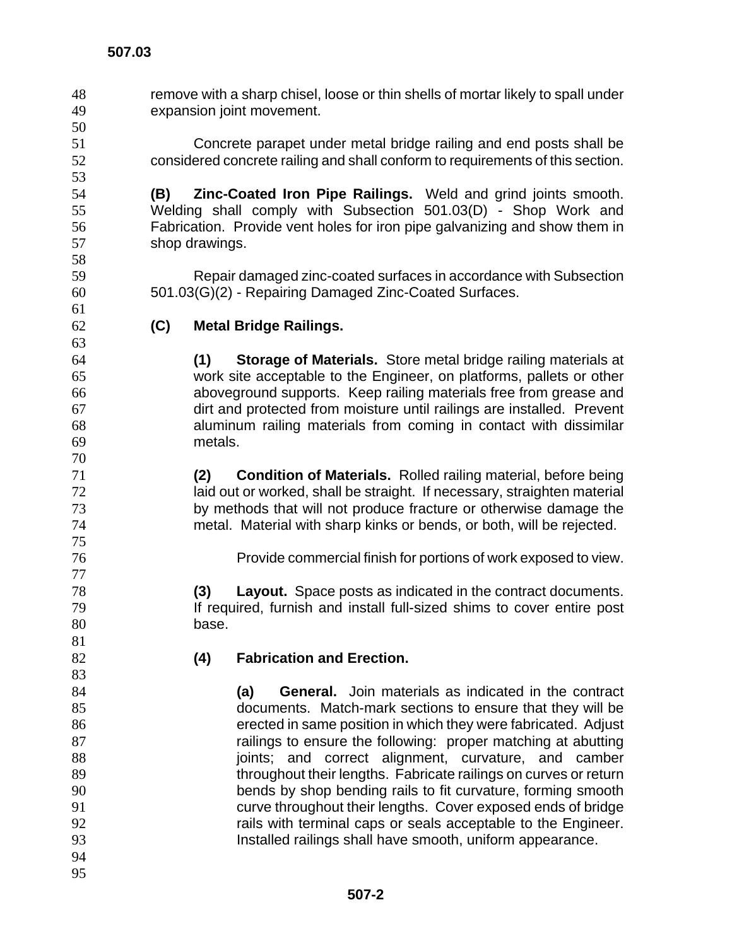remove with a sharp chisel, loose or thin shells of mortar likely to spall under expansion joint movement. Concrete parapet under metal bridge railing and end posts shall be considered concrete railing and shall conform to requirements of this section. **(B) Zinc-Coated Iron Pipe Railings.** Weld and grind joints smooth. Welding shall comply with Subsection 501.03(D) - Shop Work and Fabrication. Provide vent holes for iron pipe galvanizing and show them in shop drawings. Repair damaged zinc-coated surfaces in accordance with Subsection 501.03(G)(2) - Repairing Damaged Zinc-Coated Surfaces. **(C) Metal Bridge Railings. (1) Storage of Materials.** Store metal bridge railing materials at work site acceptable to the Engineer, on platforms, pallets or other aboveground supports. Keep railing materials free from grease and dirt and protected from moisture until railings are installed. Prevent aluminum railing materials from coming in contact with dissimilar metals. **(2) Condition of Materials.** Rolled railing material, before being laid out or worked, shall be straight. If necessary, straighten material by methods that will not produce fracture or otherwise damage the metal. Material with sharp kinks or bends, or both, will be rejected. Provide commercial finish for portions of work exposed to view. **(3) Layout.** Space posts as indicated in the contract documents. **If required, furnish and install full-sized shims to cover entire post** base. **(4) Fabrication and Erection. (a) General.** Join materials as indicated in the contract documents. Match-mark sections to ensure that they will be erected in same position in which they were fabricated. Adjust **railings to ensure the following:** proper matching at abutting 88 ioints; and correct alignment, curvature, and camber 89 throughout their lengths. Fabricate railings on curves or return bends by shop bending rails to fit curvature, forming smooth curve throughout their lengths. Cover exposed ends of bridge rails with terminal caps or seals acceptable to the Engineer. Installed railings shall have smooth, uniform appearance.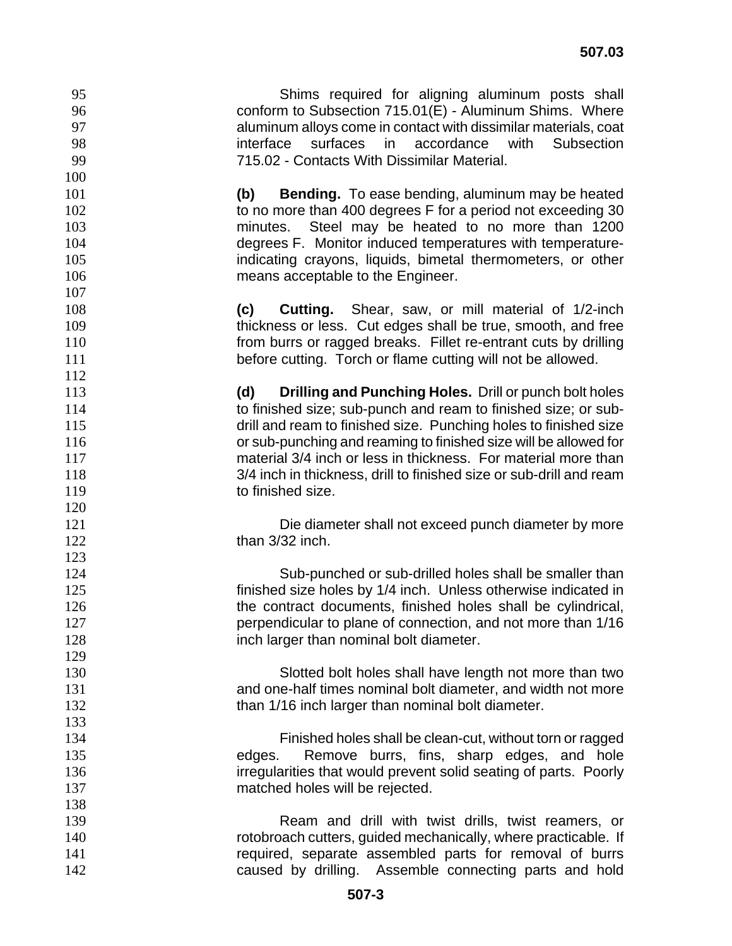Shims required for aligning aluminum posts shall conform to Subsection 715.01(E) - Aluminum Shims. Where aluminum alloys come in contact with dissimilar materials, coat interface surfaces in accordance with Subsection 715.02 - Contacts With Dissimilar Material.

**(b) Bending.** To ease bending, aluminum may be heated 102 to no more than 400 degrees F for a period not exceeding 30 minutes. Steel may be heated to no more than 1200 degrees F. Monitor induced temperatures with temperature-indicating crayons, liquids, bimetal thermometers, or other 106 means acceptable to the Engineer.

**(c) Cutting.** Shear, saw, or mill material of 1/2-inch thickness or less. Cut edges shall be true, smooth, and free **110 from burrs or ragged breaks. Fillet re-entrant cuts by drilling before cutting.** Torch or flame cutting will not be allowed.

**(d) Drilling and Punching Holes.** Drill or punch bolt holes to finished size; sub-punch and ream to finished size; or sub-115 drill and ream to finished size. Punching holes to finished size or sub-punching and reaming to finished size will be allowed for material 3/4 inch or less in thickness. For material more than 3/4 inch in thickness, drill to finished size or sub-drill and ream 119 to finished size.

Die diameter shall not exceed punch diameter by more **than 3/32 inch.** 

Sub-punched or sub-drilled holes shall be smaller than finished size holes by 1/4 inch. Unless otherwise indicated in 126 the contract documents, finished holes shall be cylindrical, perpendicular to plane of connection, and not more than 1/16 **inch larger than nominal bolt diameter.** 

Slotted bolt holes shall have length not more than two and one-half times nominal bolt diameter, and width not more 132 than 1/16 inch larger than nominal bolt diameter.

Finished holes shall be clean-cut, without torn or ragged edges. Remove burrs, fins, sharp edges, and hole irregularities that would prevent solid seating of parts. Poorly matched holes will be rejected.

Ream and drill with twist drills, twist reamers, or rotobroach cutters, guided mechanically, where practicable. If 141 required, separate assembled parts for removal of burrs caused by drilling. Assemble connecting parts and hold